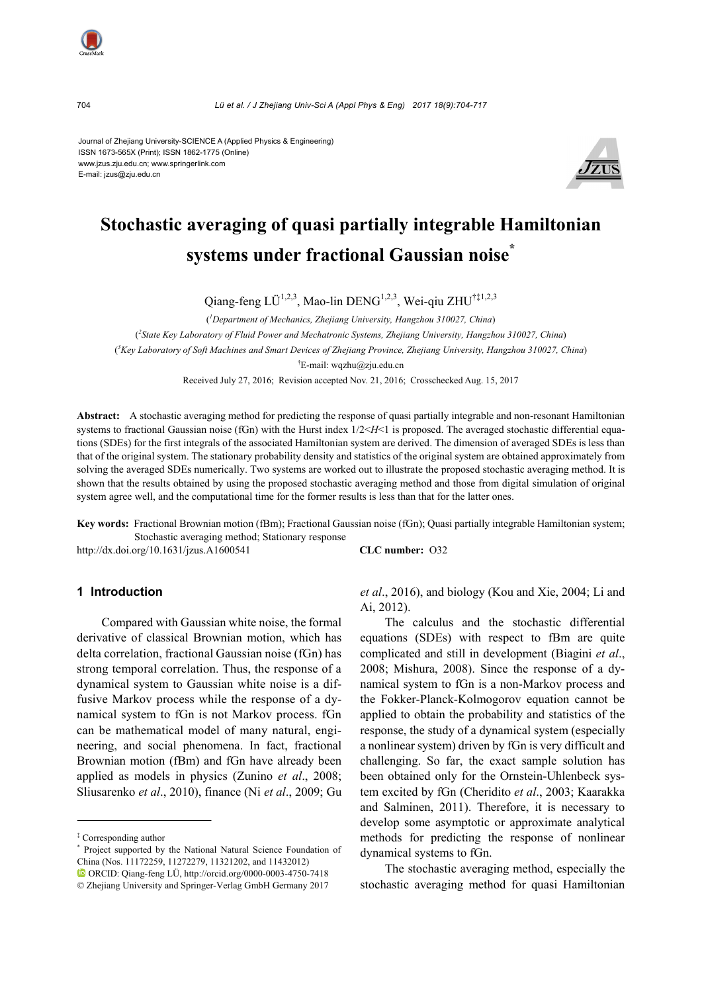704 *Lü et al. / J Zhejiang Univ-Sci A (Appl Phys & Eng) 2017 18(9):704-717*

Journal of Zhejiang University-SCIENCE A (Applied Physics & Engineering) ISSN 1673-565X (Print); ISSN 1862-1775 (Online) www.jzus.zju.edu.cn; www.springerlink.com E-mail: jzus@zju.edu.cn



# **Stochastic averaging of quasi partially integrable Hamiltonian systems under fractional Gaussian noise\***

Qiang-feng LÜ<sup>1,2,3</sup>, Mao-lin DENG<sup>1,2,3</sup>, Wei-qiu ZHU<sup>†‡1,2,3</sup>

( *1 Department of Mechanics, Zhejiang University, Hangzhou 310027, China*) ( *2 State Key Laboratory of Fluid Power and Mechatronic Systems, Zhejiang University, Hangzhou 310027, China*) ( *3 Key Laboratory of Soft Machines and Smart Devices of Zhejiang Province, Zhejiang University, Hangzhou 310027, China*) † E-mail: wqzhu@zju.edu.cn

Received July 27, 2016; Revision accepted Nov. 21, 2016; Crosschecked Aug. 15, 2017

**Abstract:** A stochastic averaging method for predicting the response of quasi partially integrable and non-resonant Hamiltonian systems to fractional Gaussian noise (fGn) with the Hurst index  $1/2 < H < 1$  is proposed. The averaged stochastic differential equations (SDEs) for the first integrals of the associated Hamiltonian system are derived. The dimension of averaged SDEs is less than that of the original system. The stationary probability density and statistics of the original system are obtained approximately from solving the averaged SDEs numerically. Two systems are worked out to illustrate the proposed stochastic averaging method. It is shown that the results obtained by using the proposed stochastic averaging method and those from digital simulation of original system agree well, and the computational time for the former results is less than that for the latter ones.

**Key words:** Fractional Brownian motion (fBm); Fractional Gaussian noise (fGn); Quasi partially integrable Hamiltonian system; Stochastic averaging method; Stationary response

http://dx.doi.org/10.1631/jzus.A1600541 **CLC number:** O32

#### **1 Introduction**

Compared with Gaussian white noise, the formal derivative of classical Brownian motion, which has delta correlation, fractional Gaussian noise (fGn) has strong temporal correlation. Thus, the response of a dynamical system to Gaussian white noise is a diffusive Markov process while the response of a dynamical system to fGn is not Markov process. fGn can be mathematical model of many natural, engineering, and social phenomena. In fact, fractional Brownian motion (fBm) and fGn have already been applied as models in physics (Zunino *et al*., 2008; Sliusarenko *et al*., 2010), finance (Ni *et al*., 2009; Gu *et al*., 2016), and biology (Kou and Xie, 2004; Li and Ai, 2012).

The calculus and the stochastic differential equations (SDEs) with respect to fBm are quite complicated and still in development (Biagini *et al*., 2008; Mishura, 2008). Since the response of a dynamical system to fGn is a non-Markov process and the Fokker-Planck-Kolmogorov equation cannot be applied to obtain the probability and statistics of the response, the study of a dynamical system (especially a nonlinear system) driven by fGn is very difficult and challenging. So far, the exact sample solution has been obtained only for the Ornstein-Uhlenbeck system excited by fGn (Cheridito *et al*., 2003; Kaarakka and Salminen, 2011). Therefore, it is necessary to develop some asymptotic or approximate analytical methods for predicting the response of nonlinear dynamical systems to fGn.

The stochastic averaging method, especially the stochastic averaging method for quasi Hamiltonian

<sup>‡</sup> Corresponding author

<sup>\*</sup> Project supported by the National Natural Science Foundation of China (Nos. 11172259, 11272279, 11321202, and 11432012)

ORCID: Qiang-feng LÜ, http://orcid.org/0000-0003-4750-7418 © Zhejiang University and Springer-Verlag GmbH Germany 2017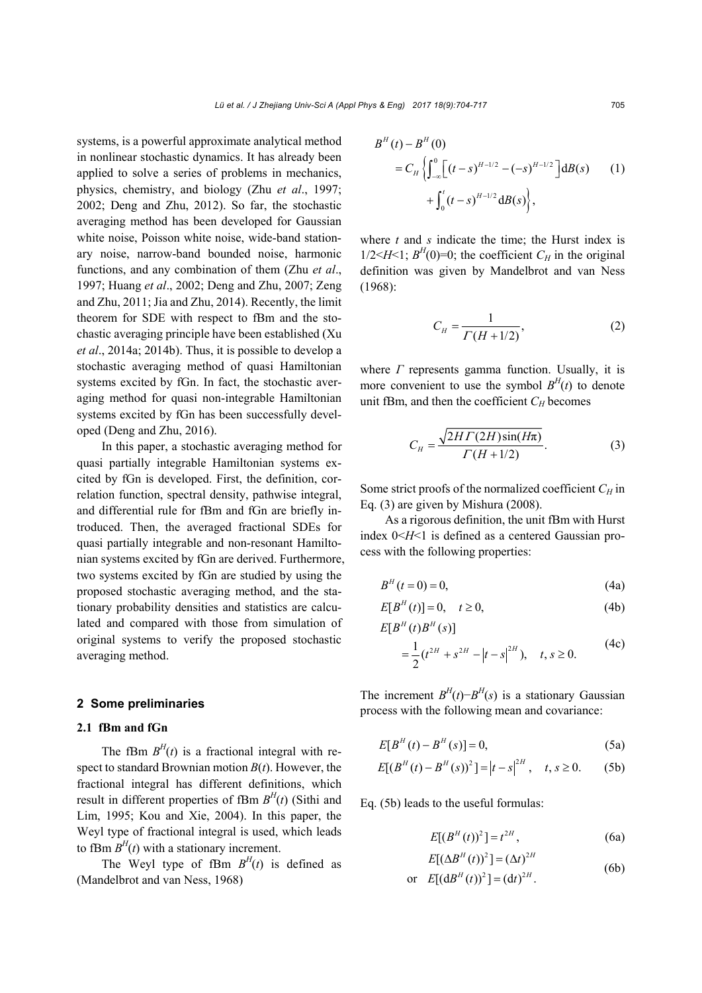systems, is a powerful approximate analytical method in nonlinear stochastic dynamics. It has already been applied to solve a series of problems in mechanics, physics, chemistry, and biology (Zhu *et al*., 1997; 2002; Deng and Zhu, 2012). So far, the stochastic averaging method has been developed for Gaussian white noise, Poisson white noise, wide-band stationary noise, narrow-band bounded noise, harmonic functions, and any combination of them (Zhu *et al*., 1997; Huang *et al*., 2002; Deng and Zhu, 2007; Zeng and Zhu, 2011; Jia and Zhu, 2014). Recently, the limit theorem for SDE with respect to fBm and the stochastic averaging principle have been established (Xu *et al*., 2014a; 2014b). Thus, it is possible to develop a stochastic averaging method of quasi Hamiltonian systems excited by fGn. In fact, the stochastic averaging method for quasi non-integrable Hamiltonian systems excited by fGn has been successfully developed (Deng and Zhu, 2016).

In this paper, a stochastic averaging method for quasi partially integrable Hamiltonian systems excited by fGn is developed. First, the definition, correlation function, spectral density, pathwise integral, and differential rule for fBm and fGn are briefly introduced. Then, the averaged fractional SDEs for quasi partially integrable and non-resonant Hamiltonian systems excited by fGn are derived. Furthermore, two systems excited by fGn are studied by using the proposed stochastic averaging method, and the stationary probability densities and statistics are calculated and compared with those from simulation of original systems to verify the proposed stochastic averaging method.

#### **2 Some preliminaries**

#### **2.1 fBm and fGn**

The fBm  $B<sup>H</sup>(t)$  is a fractional integral with respect to standard Brownian motion  $B(t)$ . However, the fractional integral has different definitions, which result in different properties of fBm  $B<sup>H</sup>(t)$  (Sithi and Lim, 1995; Kou and Xie, 2004). In this paper, the Weyl type of fractional integral is used, which leads to fBm  $B<sup>H</sup>(t)$  with a stationary increment.

The Weyl type of fBm  $B<sup>H</sup>(t)$  is defined as (Mandelbrot and van Ness, 1968)

$$
B^{H}(t) - B^{H}(0)
$$
  
=  $C_{H} \left\{ \int_{-\infty}^{0} \left[ (t-s)^{H-1/2} - (-s)^{H-1/2} \right] dB(s) \right\}$  (1)  
+  $\int_{0}^{t} (t-s)^{H-1/2} dB(s) \left\}$ ,

where *t* and *s* indicate the time; the Hurst index is  $1/2 < H < 1$ ;  $B<sup>H</sup>(0)=0$ ; the coefficient  $C<sub>H</sub>$  in the original definition was given by Mandelbrot and van Ness (1968):

$$
C_H = \frac{1}{\Gamma(H + 1/2)},\tag{2}
$$

where *Γ* represents gamma function. Usually, it is more convenient to use the symbol  $B<sup>H</sup>(t)$  to denote unit fBm, and then the coefficient  $C_H$  becomes

$$
C_H = \frac{\sqrt{2HT(2H)\sin(H\pi)}}{\Gamma(H+1/2)}.\tag{3}
$$

Some strict proofs of the normalized coefficient  $C_H$  in Eq. (3) are given by Mishura (2008).

As a rigorous definition, the unit fBm with Hurst index  $0 < H < 1$  is defined as a centered Gaussian process with the following properties:

$$
B^{H}(t=0) = 0, \t(4a)
$$

$$
E[BH(t)] = 0, \quad t \ge 0,
$$
\n(4b)

$$
E[BH(t)BH(s)]
$$
  
=  $\frac{1}{2}$ (t<sup>2H</sup> + s<sup>2H</sup> - |t - s|<sup>2H</sup>), t, s \ge 0. (4c)

$$
= \frac{1}{2} (t^{2H} + s^{2H} - |t - s|^{2H}), \quad t, s \ge 0.
$$
 (4c)

The increment  $B<sup>H</sup>(t) - B<sup>H</sup>(s)$  is a stationary Gaussian process with the following mean and covariance:

$$
E[B^{H}(t) - B^{H}(s)] = 0,
$$
\n(5a)

$$
E[(BH(t) - BH(s))2] = |t - s|2H, t, s \ge 0.
$$
 (5b)

Eq. (5b) leads to the useful formulas:

$$
E[(BH(t))^{2}] = t2H,
$$
 (6a)

$$
E[(\Delta B^{H}(t))^{2}] = (\Delta t)^{2H}
$$
\n(6b)

or 
$$
E[(dBH(t))^2] = (dt)^{2H}
$$
. (6b)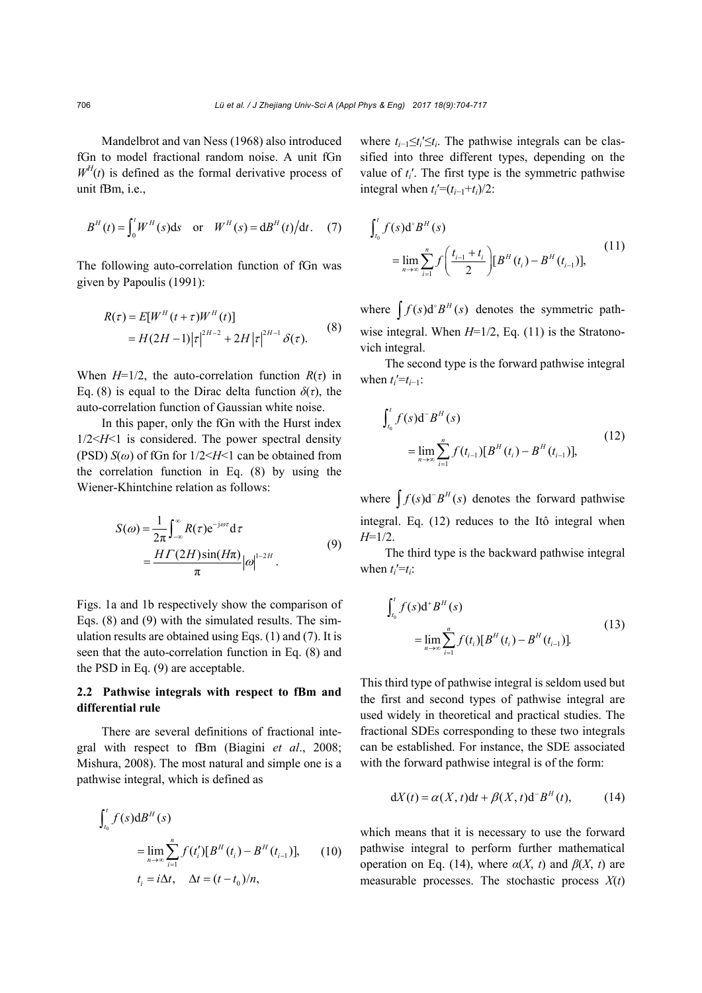Mandelbrot and van Ness (1968) also introduced fGn to model fractional random noise. A unit fGn  $W<sup>H</sup>(t)$  is defined as the formal derivative process of unit fBm, i.e.,

$$
B^{H}(t) = \int_{0}^{t} W^{H}(s) ds
$$
 or  $W^{H}(s) = dB^{H}(t)/dt$ . (7)

The following auto-correlation function of fGn was given by Papoulis (1991):

$$
R(\tau) = E[W^{H}(t+\tau)W^{H}(t)]
$$
  
=  $H(2H-1)|\tau|^{2H-2} + 2H|\tau|^{2H-1}\delta(\tau).$  (8)

When  $H=1/2$ , the auto-correlation function  $R(\tau)$  in Eq. (8) is equal to the Dirac delta function  $\delta(\tau)$ , the auto-correlation function of Gaussian white noise.

In this paper, only the fGn with the Hurst index 1/2<*H*<1 is considered. The power spectral density (PSD) *S*(*ω*) of fGn for 1/2<*H*<1 can be obtained from the correlation function in Eq. (8) by using the Wiener-Khintchine relation as follows:

$$
S(\omega) = \frac{1}{2\pi} \int_{-\infty}^{\infty} R(\tau) e^{-j\omega \tau} d\tau
$$
  
= 
$$
\frac{H\Gamma(2H)\sin(H\pi)}{\pi} |\omega|^{1-2H}.
$$
 (9)

Figs. 1a and 1b respectively show the comparison of Eqs. (8) and (9) with the simulated results. The simulation results are obtained using Eqs. (1) and (7). It is seen that the auto-correlation function in Eq. (8) and the PSD in Eq. (9) are acceptable.

### **2.2 Pathwise integrals with respect to fBm and differential rule**

There are several definitions of fractional integral with respect to fBm (Biagini *et al*., 2008; Mishura, 2008). The most natural and simple one is a pathwise integral, which is defined as

$$
\int_{t_0}^{t} f(s) dB^{H}(s)
$$
\n
$$
= \lim_{n \to \infty} \sum_{i=1}^{n} f(t'_{i}) [B^{H}(t_{i}) - B^{H}(t_{i-1})], \qquad (10)
$$
\n
$$
t_{i} = i\Delta t, \quad \Delta t = (t - t_{0})/n,
$$

where  $t_{i-1} \le t_i' \le t_i$ . The pathwise integrals can be classified into three different types, depending on the value of *ti*′. The first type is the symmetric pathwise integral when  $t_i'=(t_{i-1}+t_i)/2$ :

$$
\int_{t_0}^t f(s) d^{\circ} B^H(s)
$$
\n
$$
= \lim_{n \to \infty} \sum_{i=1}^n f\left(\frac{t_{i-1} + t_i}{2}\right) [B^H(t_i) - B^H(t_{i-1})],
$$
\n(11)

where  $\int f(s) d^s B^H(s)$  denotes the symmetric pathwise integral. When *H*=1/2, Eq. (11) is the Stratonovich integral.

The second type is the forward pathwise integral when  $t_i' = t_{i-1}$ :

$$
\int_{t_0}^{t} f(s) d^{-} B^{H}(s)
$$
\n
$$
= \lim_{n \to \infty} \sum_{i=1}^{n} f(t_{i-1}) [B^{H}(t_i) - B^{H}(t_{i-1})],
$$
\n(12)

where  $\int f(s) d^{-}B^{H}(s)$  denotes the forward pathwise integral. Eq. (12) reduces to the Itô integral when *H*=1/2.

The third type is the backward pathwise integral when  $t_i' = t_i$ :

$$
\int_{t_0}^t f(s) \mathrm{d}^+ B^H(s)
$$
\n
$$
= \lim_{n \to \infty} \sum_{i=1}^n f(t_i) [B^H(t_i) - B^H(t_{i-1})].
$$
\n(13)

This third type of pathwise integral is seldom used but the first and second types of pathwise integral are used widely in theoretical and practical studies. The fractional SDEs corresponding to these two integrals can be established. For instance, the SDE associated with the forward pathwise integral is of the form:

$$
dX(t) = \alpha(X, t)dt + \beta(X, t)d^{-}B^{H}(t), \qquad (14)
$$

which means that it is necessary to use the forward pathwise integral to perform further mathematical operation on Eq. (14), where  $\alpha(X, t)$  and  $\beta(X, t)$  are measurable processes. The stochastic process *X*(*t*)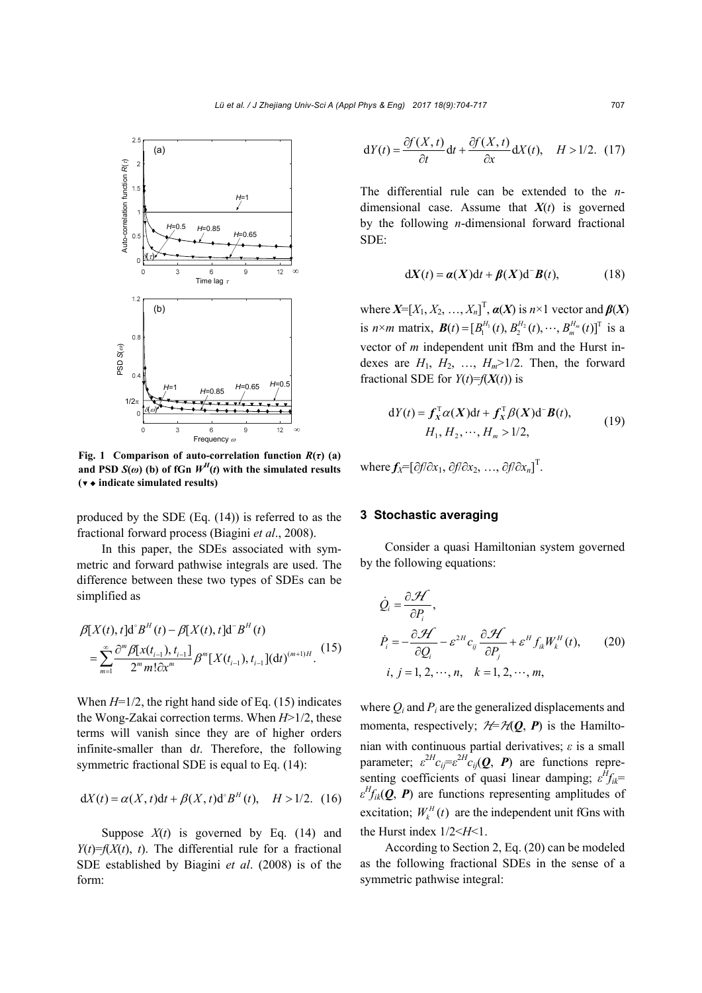

**Fig. 1** Comparison of auto-correlation function  $R(\tau)$  (a) **and PSD**  $S(\omega)$  **(b) of fGn**  $W^H(t)$  **with the simulated results (**▼ ◆ **indicate simulated results)**

produced by the SDE (Eq. (14)) is referred to as the fractional forward process (Biagini *et al*., 2008).

In this paper, the SDEs associated with symmetric and forward pathwise integrals are used. The difference between these two types of SDEs can be simplified as

$$
\beta[X(t), t]d^{s} B^{H}(t) - \beta[X(t), t]d^{s} B^{H}(t)
$$
\n
$$
= \sum_{m=1}^{\infty} \frac{\partial^{m} \beta[x(t_{i-1}), t_{i-1}]}{2^{m} m! \partial x^{m}} \beta^{m} [X(t_{i-1}), t_{i-1}] (dt)^{(m+1)H} .
$$
\n(15)

When  $H=1/2$ , the right hand side of Eq. (15) indicates the Wong-Zakai correction terms. When *H*>1/2, these terms will vanish since they are of higher orders infinite-smaller than d*t*. Therefore, the following symmetric fractional SDE is equal to Eq.  $(14)$ :

$$
dX(t) = \alpha(X, t)dt + \beta(X, t)d^{s}B^{H}(t), \quad H > 1/2.
$$
 (16)

Suppose  $X(t)$  is governed by Eq. (14) and  $Y(t)=f(X(t), t)$ . The differential rule for a fractional SDE established by Biagini *et al*. (2008) is of the form:

$$
dY(t) = \frac{\partial f(X, t)}{\partial t} dt + \frac{\partial f(X, t)}{\partial x} dX(t), \quad H > 1/2. \tag{17}
$$

The differential rule can be extended to the *n*dimensional case. Assume that  $X(t)$  is governed by the following *n*-dimensional forward fractional SDE:

$$
dX(t) = a(X)dt + \beta(X)d^{-}B(t),
$$
 (18)

where  $X=[X_1, X_2, ..., X_n]^T$ ,  $\alpha(X)$  is  $n \times 1$  vector and  $\beta(X)$ is *n*×*m* matrix,  $\mathbf{B}(t) = [B_1^{H_1}(t), B_2^{H_2}(t), \cdots, B_m^{H_m}(t)]^T$  is a vector of *m* independent unit fBm and the Hurst indexes are  $H_1$ ,  $H_2$ , ...,  $H_m$ >1/2. Then, the forward fractional SDE for  $Y(t)=f(X(t))$  is

$$
dY(t) = f_X^{\mathrm{T}} \alpha(X)dt + f_X^{\mathrm{T}} \beta(X)d^{-}B(t),
$$
  
\n
$$
H_1, H_2, \cdots, H_m > 1/2,
$$
\n(19)

where  $f_X = [\partial f/\partial x_1, \partial f/\partial x_2, \dots, \partial f/\partial x_n]^\text{T}$ .

#### **3 Stochastic averaging**

Consider a quasi Hamiltonian system governed by the following equations:

$$
\dot{Q}_i = \frac{\partial \mathcal{H}}{\partial P_i},
$$
\n
$$
\dot{P}_i = -\frac{\partial \mathcal{H}}{\partial Q_i} - \varepsilon^{2H} c_{ij} \frac{\partial \mathcal{H}}{\partial P_j} + \varepsilon^H f_{ik} W_k^H(t), \qquad (20)
$$
\n
$$
i, j = 1, 2, \cdots, n, \quad k = 1, 2, \cdots, m,
$$

where *Qi* and *Pi* are the generalized displacements and momenta, respectively;  $H = H(Q, P)$  is the Hamiltonian with continuous partial derivatives; *ε* is a small parameter;  $\varepsilon^{2H} c_{ij} = \varepsilon^{2H} c_{ij}(\mathbf{Q}, \mathbf{P})$  are functions representing coefficients of quasi linear damping;  $\varepsilon^{H} f_{ik}$ = *ε Hfik*(*Q*, *P*) are functions representing amplitudes of excitation;  $W_k^H(t)$  are the independent unit fGns with the Hurst index  $1/2 \leq H \leq 1$ .

According to Section 2, Eq. (20) can be modeled as the following fractional SDEs in the sense of a symmetric pathwise integral: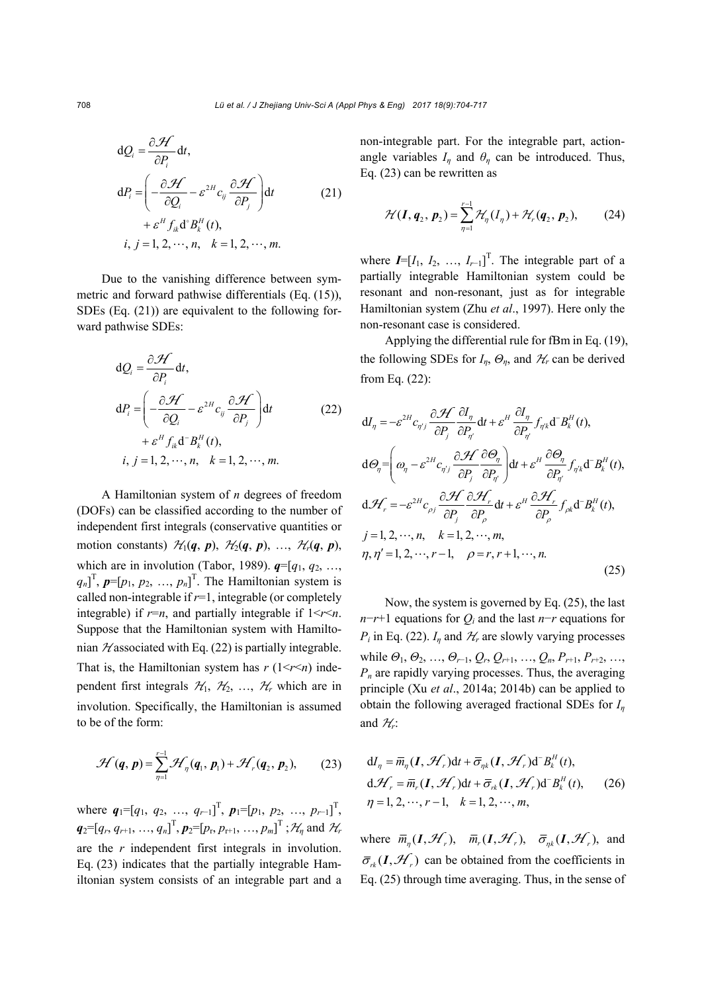$$
dQ_i = \frac{\partial \mathcal{H}}{\partial P_i} dt,
$$
  
\n
$$
dP_i = \left( -\frac{\partial \mathcal{H}}{\partial Q_i} - \varepsilon^{2H} c_{ij} \frac{\partial \mathcal{H}}{\partial P_j} \right) dt
$$
\n
$$
+ \varepsilon^H f_{ik} d^2 B_i^H(t),
$$
  
\n $i, j = 1, 2, \dots, n, \quad k = 1, 2, \dots, m.$ \n(21)

Due to the vanishing difference between symmetric and forward pathwise differentials (Eq. (15)), SDEs (Eq. (21)) are equivalent to the following forward pathwise SDEs:

$$
dQ_i = \frac{\partial \mathcal{H}}{\partial P_i} dt,
$$
  
\n
$$
dP_i = \left( -\frac{\partial \mathcal{H}}{\partial Q_i} - \varepsilon^{2H} c_{ij} \frac{\partial \mathcal{H}}{\partial P_j} \right) dt
$$
\n
$$
+ \varepsilon^H f_{ik} d^- B_k^H(t),
$$
  
\n $i, j = 1, 2, \dots, n, \quad k = 1, 2, \dots, m.$ \n(22)

A Hamiltonian system of *n* degrees of freedom (DOFs) can be classified according to the number of independent first integrals (conservative quantities or motion constants)  $\mathcal{H}_1(q, p)$ ,  $\mathcal{H}_2(q, p)$ , ...,  $\mathcal{H}_r(q, p)$ , which are in involution (Tabor, 1989).  $q=[q_1, q_2, \ldots,$  $(q_n)$ <sup>T</sup>,  $p=[p_1, p_2, ..., p_n]$ <sup>T</sup>. The Hamiltonian system is called non-integrable if *r*=1, integrable (or completely integrable) if  $r=n$ , and partially integrable if  $1 \le r \le n$ . Suppose that the Hamiltonian system with Hamiltonian  $\mathcal{H}$  associated with Eq. (22) is partially integrable. That is, the Hamiltonian system has  $r(1 \le r \le n)$  independent first integrals  $\mathcal{H}_1$ ,  $\mathcal{H}_2$ , ...,  $\mathcal{H}_r$  which are in involution. Specifically, the Hamiltonian is assumed to be of the form:

$$
\mathcal{H}(\boldsymbol{q},\boldsymbol{p})=\sum_{\eta=1}^{r-1}\mathcal{H}_{\eta}(\boldsymbol{q}_1,\boldsymbol{p}_1)+\mathcal{H}_{r}(\boldsymbol{q}_2,\boldsymbol{p}_2),\qquad(23)
$$

where  $q_1 = [q_1, q_2, ..., q_{r-1}]^T$ ,  $p_1 = [p_1, p_2, ..., p_{r-1}]^T$ ,  $q_2 = [q_r, q_{r+1}, ..., q_n]^\text{T}, p_2 = [p_r, p_{r+1}, ..., p_m]^\text{T}$ ;  $\mathcal{H}_\eta$  and  $\mathcal{H}_r$ are the *r* independent first integrals in involution. Eq. (23) indicates that the partially integrable Hamiltonian system consists of an integrable part and a

non-integrable part. For the integrable part, actionangle variables  $I_n$  and  $\theta_n$  can be introduced. Thus, Eq. (23) can be rewritten as

$$
\mathcal{H}(\bm{I}, \bm{q}_2, \bm{p}_2) = \sum_{\eta=1}^{r-1} \mathcal{H}_{\eta}(\bm{I}_{\eta}) + \mathcal{H}_{r}(\bm{q}_2, \bm{p}_2), \qquad (24)
$$

where  $I=[I_1, I_2, ..., I_{r-1}]^T$ . The integrable part of a partially integrable Hamiltonian system could be resonant and non-resonant, just as for integrable Hamiltonian system (Zhu *et al*., 1997). Here only the non-resonant case is considered.

Applying the differential rule for fBm in Eq. (19), the following SDEs for  $I_n$ ,  $\Theta_n$ , and  $\mathcal{H}_r$  can be derived from Eq. (22):

$$
dI_{\eta} = -\varepsilon^{2H} c_{\eta j} \frac{\partial \mathcal{H}}{\partial P_{j}} \frac{\partial I_{\eta}}{\partial P_{\eta'}} dt + \varepsilon^{H} \frac{\partial I_{\eta}}{\partial P_{\eta'}} f_{\eta k} d^{*} B_{k}^{H}(t),
$$
  
\n
$$
d\Theta_{\eta} = \left(\omega_{\eta} - \varepsilon^{2H} c_{\eta j} \frac{\partial \mathcal{H}}{\partial P_{j}} \frac{\partial \Theta_{\eta}}{\partial P_{\eta'}}\right) dt + \varepsilon^{H} \frac{\partial \Theta_{\eta}}{\partial P_{\eta'}} f_{\eta k} d^{*} B_{k}^{H}(t),
$$
  
\n
$$
d\mathcal{H}_{r} = -\varepsilon^{2H} c_{\rho j} \frac{\partial \mathcal{H}}{\partial P_{j}} \frac{\partial \mathcal{H}_{r}}{\partial P_{\rho}} dt + \varepsilon^{H} \frac{\partial \mathcal{H}_{r}}{\partial P_{\rho}} f_{\rho k} d^{*} B_{k}^{H}(t),
$$
  
\n
$$
j = 1, 2, \dots, n, \quad k = 1, 2, \dots, m,
$$
  
\n
$$
\eta, \eta' = 1, 2, \dots, r - 1, \quad \rho = r, r + 1, \dots, n.
$$
  
\n(25)

Now, the system is governed by Eq. (25), the last *n*−*r*+1 equations for *Q<sub>i</sub>* and the last *n*−*r* equations for *P<sub>i</sub>* in Eq. (22).  $I_n$  and  $H_r$  are slowly varying processes while  $\Theta_1, \Theta_2, ..., \Theta_{r-1}, Q_r, Q_{r+1}, ..., Q_n, P_{r+1}, P_{r+2}, ...,$ *Pn* are rapidly varying processes. Thus, the averaging principle (Xu *et al*., 2014a; 2014b) can be applied to obtain the following averaged fractional SDEs for *I<sup>η</sup>* and  $\mathcal{H}_r$ :

$$
dI_{\eta} = \overline{m}_{\eta}(\mathbf{I}, \mathcal{H}_{r})dt + \overline{\sigma}_{\eta k}(\mathbf{I}, \mathcal{H}_{r})d^{-}B_{k}^{H}(t),
$$
  
\n
$$
d\mathcal{H}_{r} = \overline{m}_{r}(\mathbf{I}, \mathcal{H}_{r})dt + \overline{\sigma}_{rk}(\mathbf{I}, \mathcal{H}_{r})d^{-}B_{k}^{H}(t),
$$
 (26)  
\n
$$
\eta = 1, 2, \cdots, r-1, \quad k = 1, 2, \cdots, m,
$$

where  $\overline{m}_n(I, \mathcal{H}_r)$ ,  $\overline{m}_r(I, \mathcal{H}_r)$ ,  $\overline{\sigma}_{nk}(I, \mathcal{H}_r)$ , and  $\bar{\sigma}_{ik}(\bm{I}, \mathcal{H})$  can be obtained from the coefficients in Eq. (25) through time averaging. Thus, in the sense of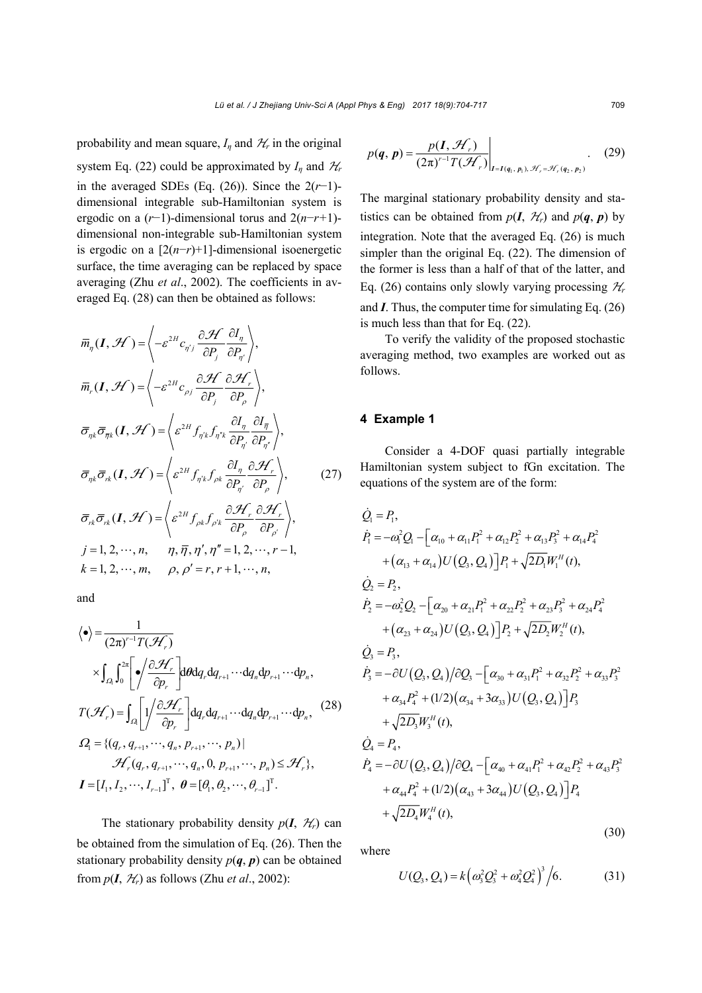probability and mean square,  $I_n$  and  $H_r$  in the original system Eq. (22) could be approximated by  $I_n$  and  $H_r$ in the averaged SDEs (Eq.  $(26)$ ). Since the  $2(r-1)$ dimensional integrable sub-Hamiltonian system is ergodic on a (*r*−1)-dimensional torus and 2(*n*−*r+*1) dimensional non-integrable sub-Hamiltonian system is ergodic on a [2(*n*−*r*)+1]-dimensional isoenergetic surface, the time averaging can be replaced by space averaging (Zhu *et al*., 2002). The coefficients in averaged Eq. (28) can then be obtained as follows:

$$
\overline{m}_{\eta}(\boldsymbol{I}, \mathcal{H}) = \left\langle -\varepsilon^{2H} c_{\eta'j} \frac{\partial \mathcal{H}}{\partial P_j} \frac{\partial I_{\eta}}{\partial P_{\eta'}} \right\rangle,
$$
\n
$$
\overline{m}_{r}(\boldsymbol{I}, \mathcal{H}) = \left\langle -\varepsilon^{2H} c_{\rho j} \frac{\partial \mathcal{H}}{\partial P_j} \frac{\partial \mathcal{H}_{r}}{\partial P_{\rho}} \right\rangle,
$$
\n
$$
\overline{\sigma}_{\eta k} \overline{\sigma}_{\overline{\eta} k}(\boldsymbol{I}, \mathcal{H}) = \left\langle \varepsilon^{2H} f_{\eta' k} f_{\eta' k} \frac{\partial I_{\eta}}{\partial P_{\eta'}} \frac{\partial I_{\overline{\eta}}}{\partial P_{\eta'}} \right\rangle,
$$
\n
$$
\overline{\sigma}_{\eta k} \overline{\sigma}_{r k}(\boldsymbol{I}, \mathcal{H}) = \left\langle \varepsilon^{2H} f_{\eta' k} f_{\rho k} \frac{\partial I_{\eta}}{\partial P_{\eta'}} \frac{\partial \mathcal{H}_{r}}{\partial P_{\rho'}} \right\rangle,
$$
\n
$$
\overline{\sigma}_{r k} \overline{\sigma}_{r k}(\boldsymbol{I}, \mathcal{H}) = \left\langle \varepsilon^{2H} f_{\rho k} f_{\rho k} \frac{\partial \mathcal{H}_{r}}{\partial P_{\rho}} \frac{\partial \mathcal{H}_{r}}{\partial P_{\rho'}} \right\rangle,
$$
\n
$$
j = 1, 2, \dots, n, \qquad \eta, \overline{\eta}, \eta', \eta'' = 1, 2, \dots, r - 1,
$$
\n
$$
k = 1, 2, \dots, m, \qquad \rho, \rho' = r, r + 1, \dots, n,
$$

and

$$
\langle \bullet \rangle = \frac{1}{(2\pi)^{r-1}T(\mathcal{H}_r)}
$$
\n
$$
\times \int_{\Omega_1} \int_0^{2\pi} \left[ \bullet \int \frac{\partial \mathcal{H}_r}{\partial p_r} \right] d\theta dq_r dq_{r+1} \cdots dq_n dp_{r+1} \cdots dp_n,
$$
\n
$$
T(\mathcal{H}_r) = \int_{\Omega_1} \left[ \frac{1}{2} \int \frac{\partial \mathcal{H}_r}{\partial p_r} \right] dq_r dq_{r+1} \cdots dq_n dp_{r+1} \cdots dp_n, \quad (28)
$$
\n
$$
\Omega_1 = \{ (q_r, q_{r+1}, \cdots, q_n, p_{r+1}, \cdots, p_n) | \mathcal{H}_r(q_r, q_{r+1}, \cdots, q_n, 0, p_{r+1}, \cdots, p_n) \leq \mathcal{H}_r \},
$$
\n
$$
I = [I_1, I_2, \cdots, I_{r-1}]^T, \quad \theta = [\theta_1, \theta_2, \cdots, \theta_{r-1}]^T.
$$

The stationary probability density  $p(I, \mathcal{H}_r)$  can be obtained from the simulation of Eq. (26). Then the stationary probability density  $p(q, p)$  can be obtained from  $p(I, \mathcal{H}_r)$  as follows (Zhu *et al.*, 2002):

$$
p(q, p) = \frac{p(I, \mathcal{H}_r)}{(2\pi)^{r-1}T(\mathcal{H}_r)}\Big|_{I = I(q_1, p_1), \mathcal{H}_r = \mathcal{H}_r(q_2, p_2)}.
$$
 (29)

The marginal stationary probability density and statistics can be obtained from  $p(I, H_r)$  and  $p(q, p)$  by integration. Note that the averaged Eq. (26) is much simpler than the original Eq. (22). The dimension of the former is less than a half of that of the latter, and Eq. (26) contains only slowly varying processing  $\mathcal{H}_r$ and *I*. Thus, the computer time for simulating Eq. (26) is much less than that for Eq. (22).

To verify the validity of the proposed stochastic averaging method, two examples are worked out as follows.

#### **4 Example 1**

Consider a 4-DOF quasi partially integrable Hamiltonian system subject to fGn excitation. The equations of the system are of the form:

$$
\dot{Q}_1 = P_1,
$$
\n
$$
\dot{P}_1 = -\omega_1^2 Q_1 - \left[\alpha_{10} + \alpha_{11} P_1^2 + \alpha_{12} P_2^2 + \alpha_{13} P_3^2 + \alpha_{14} P_4^2 + (\alpha_{13} + \alpha_{14}) U(Q_3, Q_4)\right] P_1 + \sqrt{2D_1} W_1^H(t),
$$
\n
$$
\dot{Q}_2 = P_2,
$$
\n
$$
\dot{P}_2 = -\omega_2^2 Q_2 - \left[\alpha_{20} + \alpha_{21} P_1^2 + \alpha_{22} P_2^2 + \alpha_{23} P_3^2 + \alpha_{24} P_4^2 + (\alpha_{23} + \alpha_{24}) U(Q_3, Q_4)\right] P_2 + \sqrt{2D_2} W_2^H(t),
$$
\n
$$
\dot{Q}_3 = P_3,
$$
\n
$$
\dot{P}_3 = -\partial U(Q_3, Q_4)/\partial Q_3 - \left[\alpha_{30} + \alpha_{31} P_1^2 + \alpha_{32} P_2^2 + \alpha_{33} P_3^2 + \alpha_{34} P_4^2 + (1/2)(\alpha_{34} + 3\alpha_{33}) U(Q_3, Q_4)\right] P_3
$$
\n
$$
+ \sqrt{2D_3} W_3^H(t),
$$
\n
$$
\dot{Q}_4 = P_4,
$$
\n
$$
\dot{P}_4 = -\partial U(Q_3, Q_4)/\partial Q_4 - \left[\alpha_{40} + \alpha_{41} P_1^2 + \alpha_{42} P_2^2 + \alpha_{43} P_3^2 + \alpha_{44} P_4^2 + (1/2)(\alpha_{43} + 3\alpha_{44}) U(Q_3, Q_4)\right] P_4
$$
\n
$$
+ \sqrt{2D_4} W_4^H(t),
$$

where

$$
U(Q_3, Q_4) = k \left( \omega_3^2 Q_3^2 + \omega_4^2 Q_4^2 \right)^3 / 6. \tag{31}
$$

(30)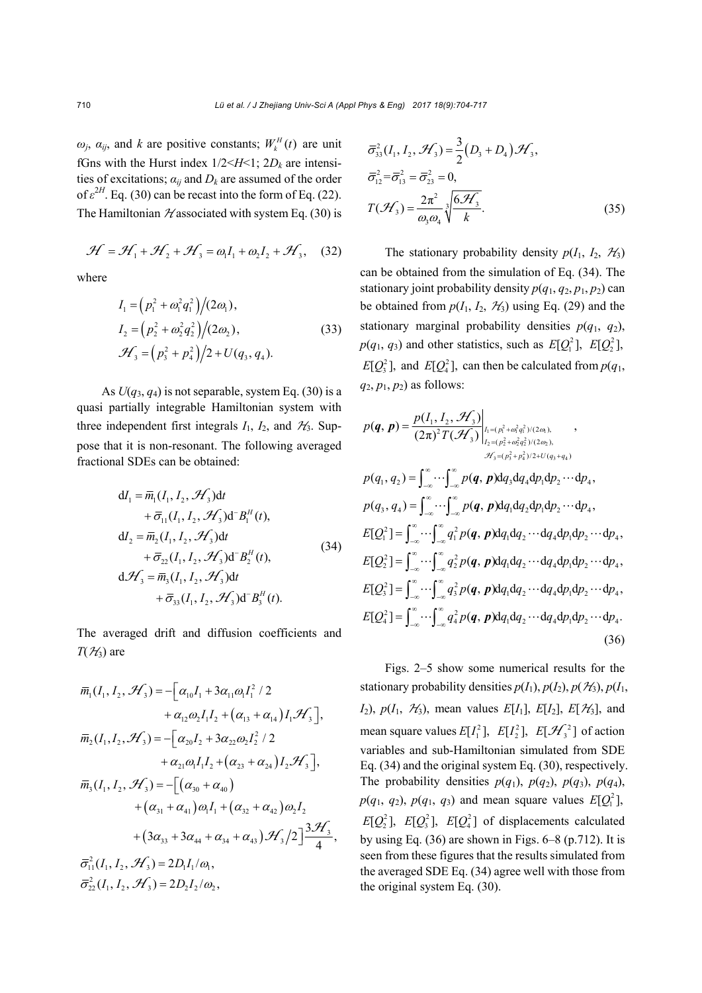$\omega_j$ ,  $\alpha_{ij}$ , and *k* are positive constants;  $W_k^H(t)$  are unit fGns with the Hurst index  $1/2 < H < 1$ ;  $2D_k$  are intensities of excitations;  $a_{ij}$  and  $D_k$  are assumed of the order of  $\varepsilon^{2H}$ . Eq. (30) can be recast into the form of Eq. (22). The Hamiltonian  $\mathcal{H}$  associated with system Eq. (30) is

$$
\mathcal{H} = \mathcal{H}_1 + \mathcal{H}_2 + \mathcal{H}_3 = \omega_1 I_1 + \omega_2 I_2 + \mathcal{H}_3, \quad (32)
$$

where

$$
I_1 = (p_1^2 + \omega_1^2 q_1^2)/(2\omega_1),
$$
  
\n
$$
I_2 = (p_2^2 + \omega_2^2 q_2^2)/(2\omega_2),
$$
  
\n
$$
\mathcal{H}_3 = (p_3^2 + p_4^2)/2 + U(q_3, q_4).
$$
\n(33)

As  $U(q_3, q_4)$  is not separable, system Eq. (30) is a quasi partially integrable Hamiltonian system with three independent first integrals  $I_1$ ,  $I_2$ , and  $H_3$ . Suppose that it is non-resonant. The following averaged fractional SDEs can be obtained:

$$
dI_1 = \overline{m}_1(I_1, I_2, \mathcal{H}_3)dt + \overline{\sigma}_{11}(I_1, I_2, \mathcal{H}_3) d^{-} B_1^H(t), dI_2 = \overline{m}_2(I_1, I_2, \mathcal{H}_3)dt + \overline{\sigma}_{22}(I_1, I_2, \mathcal{H}_3) d^{-} B_2^H(t), d\mathcal{H}_3 = \overline{m}_3(I_1, I_2, \mathcal{H}_3)dt + \overline{\sigma}_{33}(I_1, I_2, \mathcal{H}_3) d^{-} B_3^H(t).
$$
\n(34)

The averaged drift and diffusion coefficients and  $T(\mathcal{H}_3)$  are

$$
\overline{m}_1(I_1, I_2, \mathcal{H}_3) = -[\alpha_{10}I_1 + 3\alpha_{11}\omega_1I_1^2 / 2 \n+ \alpha_{12}\omega_2I_1I_2 + (\alpha_{13} + \alpha_{14})I_1\mathcal{H}_3],
$$
  
\n
$$
\overline{m}_2(I_1, I_2, \mathcal{H}_3) = -[\alpha_{20}I_2 + 3\alpha_{22}\omega_2I_2^2 / 2 \n+ \alpha_{21}\omega_1I_1I_2 + (\alpha_{23} + \alpha_{24})I_2\mathcal{H}_3],
$$
  
\n
$$
\overline{m}_3(I_1, I_2, \mathcal{H}_3) = -[(\alpha_{30} + \alpha_{40}) \n+ (\alpha_{31} + \alpha_{41})\omega_1I_1 + (\alpha_{32} + \alpha_{42})\omega_2I_2 \n+ (3\alpha_{33} + 3\alpha_{44} + \alpha_{34} + \alpha_{43})\mathcal{H}_3/2]^{\frac{3\mathcal{H}_3}{4}},
$$
  
\n
$$
\overline{\sigma}_{11}^2(I_1, I_2, \mathcal{H}_3) = 2D_1I_1/\omega_1,
$$
  
\n
$$
\overline{\sigma}_{22}^2(I_1, I_2, \mathcal{H}_3) = 2D_2I_2/\omega_2,
$$

$$
\overline{\sigma}_{33}^2(I_1, I_2, \mathcal{H}_3) = \frac{3}{2}(D_3 + D_4)\mathcal{H}_3,
$$
  
\n
$$
\overline{\sigma}_{12}^2 = \overline{\sigma}_{13}^2 = \overline{\sigma}_{23}^2 = 0,
$$
  
\n
$$
T(\mathcal{H}_3) = \frac{2\pi^2}{\omega_3\omega_4} \sqrt[3]{\frac{6\mathcal{H}_3}{k}}.
$$
\n(35)

The stationary probability density  $p(I_1, I_2, \mathcal{H}_3)$ can be obtained from the simulation of Eq. (34). The stationary joint probability density  $p(q_1, q_2, p_1, p_2)$  can be obtained from  $p(I_1, I_2, \mathcal{H}_3)$  using Eq. (29) and the stationary marginal probability densities  $p(q_1, q_2)$ ,  $p(q_1, q_3)$  and other statistics, such as  $E[Q_1^2]$ ,  $E[Q_2^2]$ ,  $E[Q_3^2]$ , and  $E[Q_4^2]$ , can then be calculated from  $p(q_1,$  $q_2, p_1, p_2$  as follows:

$$
p(q, p) = \frac{p(I_1, I_2, \mathcal{H}_3)}{(2\pi)^2 T(\mathcal{H}_3)}\Big|_{I_1 = (p_1^2 + \omega_1^2 q_1^2)/(2\omega_1)},
$$
  
\n
$$
p(q_1, q_2) = \int_{-\infty}^{\infty} \cdots \int_{-\infty}^{\infty} p(q, p) dq_3 dq_4 dp_1 dp_2 \cdots dp_4,
$$
  
\n
$$
p(q_3, q_4) = \int_{-\infty}^{\infty} \cdots \int_{-\infty}^{\infty} p(q, p) dq_1 dq_2 dp_1 dp_2 \cdots dp_4,
$$
  
\n
$$
E[Q_1^2] = \int_{-\infty}^{\infty} \cdots \int_{-\infty}^{\infty} q_1^2 p(q, p) dq_1 dq_2 \cdots dq_4 dp_1 dp_2 \cdots dp_4,
$$
  
\n
$$
E[Q_2^2] = \int_{-\infty}^{\infty} \cdots \int_{-\infty}^{\infty} q_1^2 p(q, p) dq_1 dq_2 \cdots dq_4 dp_1 dp_2 \cdots dp_4,
$$
  
\n
$$
E[Q_3^2] = \int_{-\infty}^{\infty} \cdots \int_{-\infty}^{\infty} q_2^2 p(q, p) dq_1 dq_2 \cdots dq_4 dp_1 dp_2 \cdots dp_4,
$$
  
\n
$$
E[Q_3^2] = \int_{-\infty}^{\infty} \cdots \int_{-\infty}^{\infty} q_3^2 p(q, p) dq_1 dq_2 \cdots dq_4 dp_1 dp_2 \cdots dp_4,
$$
  
\n
$$
E[Q_4^2] = \int_{-\infty}^{\infty} \cdots \int_{-\infty}^{\infty} q_4^2 p(q, p) dq_1 dq_2 \cdots dq_4 dp_1 dp_2 \cdots dp_4.
$$
  
\n(36)

Figs. 2–5 show some numerical results for the stationary probability densities  $p(I_1)$ ,  $p(I_2)$ ,  $p(\mathcal{H}_3)$ ,  $p(I_1)$ ,  $I_2$ ,  $p(I_1, \mathcal{H}_3)$ , mean values  $E[I_1]$ ,  $E[I_2]$ ,  $E[\mathcal{H}_3]$ , and mean square values  $E[I_1^2]$ ,  $E[I_2^2]$ ,  $E[\mathcal{H}_3^2]$  of action variables and sub-Hamiltonian simulated from SDE Eq. (34) and the original system Eq. (30), respectively. The probability densities  $p(q_1)$ ,  $p(q_2)$ ,  $p(q_3)$ ,  $p(q_4)$ ,  $p(q_1, q_2), p(q_1, q_3)$  and mean square values  $E[Q_1^2]$ ,  $E[Q_2^2]$ ,  $E[Q_3^2]$ ,  $E[Q_4^2]$  of displacements calculated by using Eq.  $(36)$  are shown in Figs.  $6-8$  (p.712). It is seen from these figures that the results simulated from the averaged SDE Eq. (34) agree well with those from the original system Eq. (30).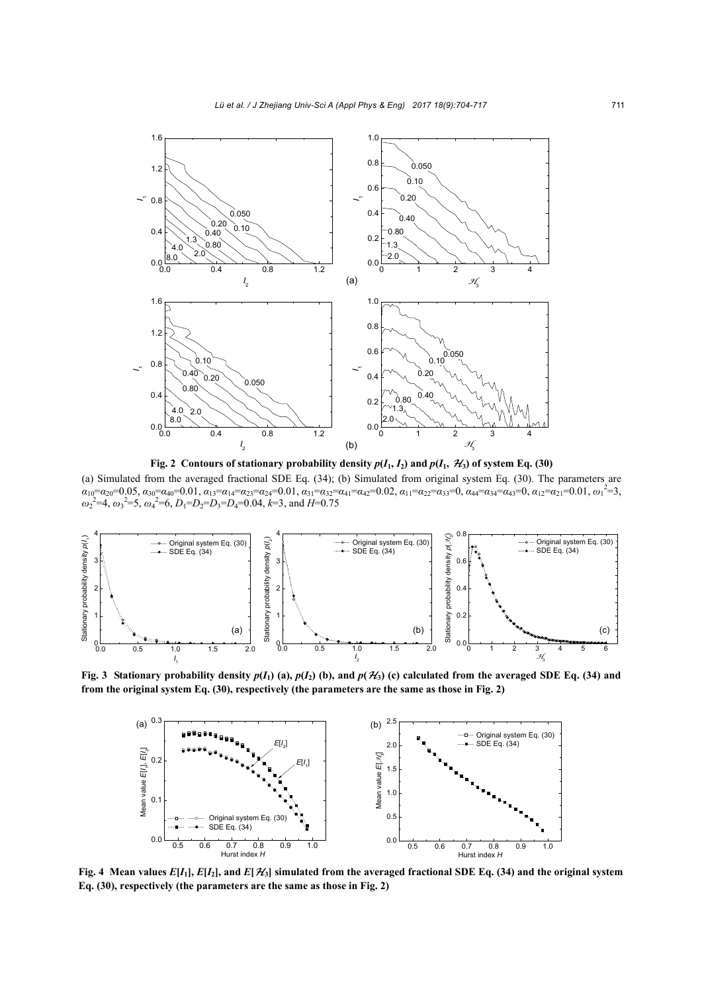

**Fig. 2** Contours of stationary probability density  $p(I_1, I_2)$  and  $p(I_1, \mathcal{H}_3)$  of system Eq. (30)

(a) Simulated from the averaged fractional SDE Eq. (34); (b) Simulated from original system Eq. (30). The parameters are  $\alpha_{10} = \alpha_{20} = 0.05$ ,  $\alpha_{30} = \alpha_{40} = 0.01$ ,  $\alpha_{13} = \alpha_{14} = \alpha_{23} = \alpha_{24} = 0.01$ ,  $\alpha_{31} = \alpha_{32} = \alpha_{41} = \alpha_{42} = 0.02$ ,  $\alpha_{11} = \alpha_{22} = \alpha_{33} = 0$ ,  $\alpha_{44} = \alpha_{34} = \alpha_{43} = 0$ ,  $\alpha_{12} = \alpha_{21} = 0.01$ ,  $\omega_1^2 = 3$ ,  $\omega_2^2$ =4,  $\omega_3^2$ =5,  $\omega_4^2$ =6,  $D_1$ = $D_2$ = $D_3$ = $D_4$ =0.04,  $k$ =3, and *H*=0.75



**Fig. 3** Stationary probability density  $p(I_1)$  (a),  $p(I_2)$  (b), and  $p(\mathcal{H}_3)$  (c) calculated from the averaged SDE Eq. (34) and **from the original system Eq. (30), respectively (the parameters are the same as those in Fig. 2)**



**Fig. 4** Mean values  $E[I_1], E[I_2]$ , and  $E[\mathcal{H}_3]$  simulated from the averaged fractional SDE Eq. (34) and the original system **Eq. (30), respectively (the parameters are the same as those in Fig. 2)**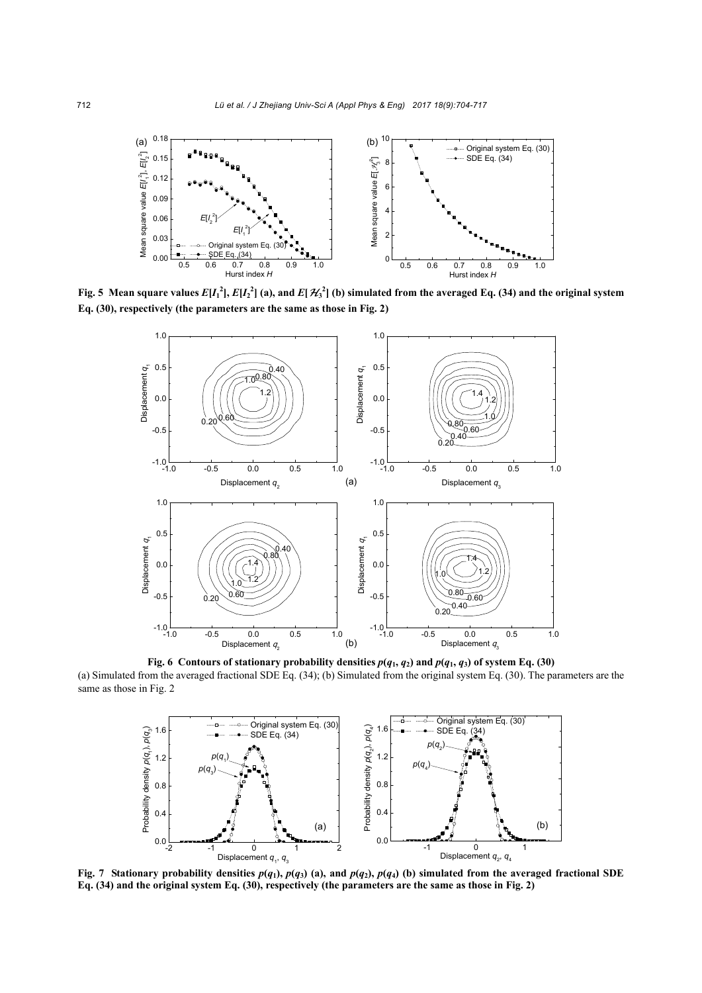

Fig. 5 Mean square values  $E[I_1^2], E[I_2^2]$  (a), and  $E[\mathcal{H}_3^2]$  (b) simulated from the averaged Eq. (34) and the original system **Eq. (30), respectively (the parameters are the same as those in Fig. 2)**



**Fig. 6 Contours of stationary probability densities**  $p(q_1, q_2)$  **and**  $p(q_1, q_3)$  **of system Eq. (30)** (a) Simulated from the averaged fractional SDE Eq. (34); (b) Simulated from the original system Eq. (30). The parameters are the same as those in Fig. 2



Fig. 7 Stationary probability densities  $p(q_1)$ ,  $p(q_3)$  (a), and  $p(q_2)$ ,  $p(q_4)$  (b) simulated from the averaged fractional SDE **Eq. (34) and the original system Eq. (30), respectively (the parameters are the same as those in Fig. 2)**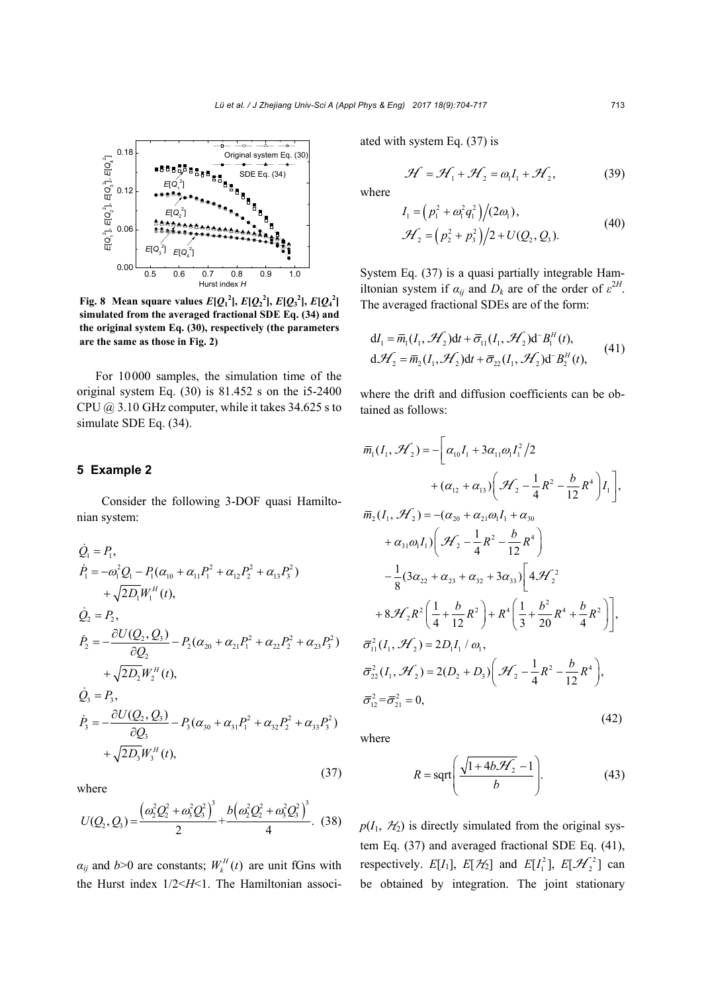

Fig. 8 Mean square values  $E[Q_1^2]$ ,  $E[Q_2^2]$ ,  $E[Q_3^2]$ ,  $E[Q_4^2]$ **simulated from the averaged fractional SDE Eq. (34) and the original system Eq. (30), respectively (the parameters are the same as those in Fig. 2)**

For 10000 samples, the simulation time of the original system Eq. (30) is 81.452 s on the i5-2400 CPU  $(a)$  3.10 GHz computer, while it takes 34.625 s to simulate SDE Eq. (34).

#### **5 Example 2**

Consider the following 3-DOF quasi Hamiltonian system:

$$
\dot{Q}_1 = P_1,
$$
\n
$$
\dot{P}_1 = -\omega_1^2 Q_1 - P_1(\alpha_{10} + \alpha_{11} P_1^2 + \alpha_{12} P_2^2 + \alpha_{13} P_3^2)
$$
\n
$$
+ \sqrt{2D_1} W_1^H(t),
$$
\n
$$
\dot{Q}_2 = P_2,
$$
\n
$$
\dot{P}_2 = -\frac{\partial U(Q_2, Q_3)}{\partial Q_2} - P_2(\alpha_{20} + \alpha_{21} P_1^2 + \alpha_{22} P_2^2 + \alpha_{23} P_3^2)
$$
\n
$$
+ \sqrt{2D_2} W_2^H(t),
$$
\n
$$
\dot{Q}_3 = P_3,
$$
\n
$$
\dot{P}_3 = -\frac{\partial U(Q_2, Q_3)}{\partial Q_3} - P_3(\alpha_{30} + \alpha_{31} P_1^2 + \alpha_{32} P_2^2 + \alpha_{33} P_3^2)
$$
\n
$$
+ \sqrt{2D_3} W_3^H(t),
$$
\n(37)

where

$$
U(Q_2, Q_3) = \frac{\left(\omega_2^2 Q_2^2 + \omega_3^2 Q_3^2\right)^3}{2} + \frac{b\left(\omega_2^2 Q_2^2 + \omega_3^2 Q_3^2\right)^3}{4}.
$$
 (38)

 $\alpha_{ij}$  and  $b > 0$  are constants;  $W_k^H(t)$  are unit fGns with the Hurst index 1/2<*H*<1. The Hamiltonian associated with system Eq. (37) is

$$
\mathcal{H} = \mathcal{H}_1 + \mathcal{H}_2 = \omega_1 I_1 + \mathcal{H}_2,
$$
 (39)

where

$$
I_1 = (p_1^2 + \omega_1^2 q_1^2)/(2\omega_1),
$$
  
\n
$$
\mathcal{H}_2 = (p_2^2 + p_3^2)/2 + U(Q_2, Q_3).
$$
\n(40)

System Eq. (37) is a quasi partially integrable Hamiltonian system if  $\alpha_{ij}$  and  $D_k$  are of the order of  $\varepsilon^{2H}$ . The averaged fractional SDEs are of the form:

$$
dI_1 = \overline{m}_1(I_1, \mathcal{H}_2)dt + \overline{\sigma}_{11}(I_1, \mathcal{H}_2)d^{-1}B_1^H(t),
$$
  
\n
$$
d\mathcal{H}_2 = \overline{m}_2(I_1, \mathcal{H}_2)dt + \overline{\sigma}_{22}(I_1, \mathcal{H}_2)d^{-1}B_2^H(t),
$$
\n(41)

where the drift and diffusion coefficients can be obtained as follows:

$$
\overline{m}_1(I_1, \mathcal{H}_2) = -\left[\alpha_{10}I_1 + 3\alpha_{11}\omega_1 I_1^2/2 + (\alpha_{12} + \alpha_{13})\left(\mathcal{H}_2 - \frac{1}{4}R^2 - \frac{b}{12}R^4\right)I_1\right],
$$
  
\n
$$
\overline{m}_2(I_1, \mathcal{H}_2) = -(\alpha_{20} + \alpha_{21}\omega_1 I_1 + \alpha_{30} + \alpha_{31}\omega_1 I_1)\left(\mathcal{H}_2 - \frac{1}{4}R^2 - \frac{b}{12}R^4\right)
$$
  
\n
$$
- \frac{1}{8}(3\alpha_{22} + \alpha_{23} + \alpha_{32} + 3\alpha_{33})\left[4\mathcal{H}_2^2 + 8\mathcal{H}_2R^2\left(\frac{1}{4} + \frac{b}{12}R^2\right) + R^4\left(\frac{1}{3} + \frac{b^2}{20}R^4 + \frac{b}{4}R^2\right)\right],
$$
  
\n
$$
\overline{\sigma}_{11}^2(I_1, \mathcal{H}_2) = 2D_1I_1 / \omega_1,
$$
  
\n
$$
\overline{\sigma}_{22}^2(I_1, \mathcal{H}_2) = 2(D_2 + D_3)\left(\mathcal{H}_2 - \frac{1}{4}R^2 - \frac{b}{12}R^4\right),
$$
  
\n
$$
\overline{\sigma}_{12}^2 = \overline{\sigma}_{21}^2 = 0,
$$
  
\n(42)

where

$$
R = \operatorname{sqrt}\left(\frac{\sqrt{1 + 4b\mathcal{H}_2} - 1}{b}\right).
$$
 (43)

 $p(I_1, \mathcal{H}_2)$  is directly simulated from the original system Eq. (37) and averaged fractional SDE Eq. (41), respectively.  $E[I_1]$ ,  $E[\mathcal{H}_2]$  and  $E[I_1^2]$ ,  $E[\mathcal{H}_2^2]$  can be obtained by integration. The joint stationary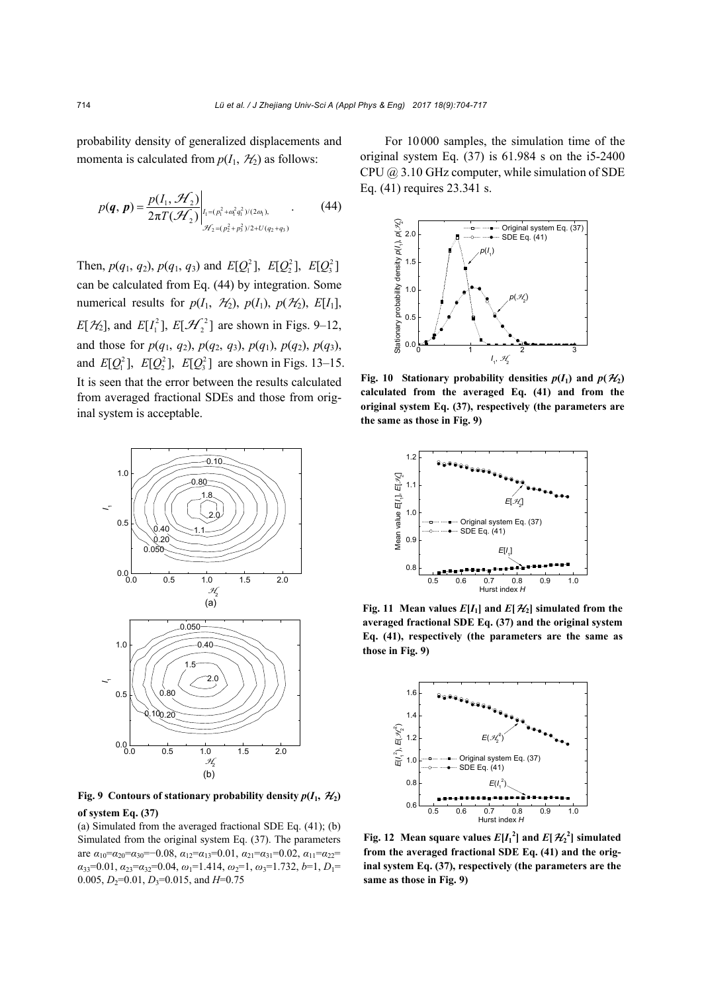probability density of generalized displacements and momenta is calculated from  $p(I_1, \mathcal{H}_2)$  as follows:

$$
p(q, p) = \frac{p(I_1, \mathcal{H}_2)}{2\pi T(\mathcal{H}_2)}\bigg|_{\mathcal{H}_2 = (p_1^2 + \omega_1^2 q_1^2)/(2\omega_1), \atop \mathcal{H}_2 = (p_2^2 + p_3^2)/2 + U(q_2 + q_3)}.
$$
 (44)

Then,  $p(q_1, q_2)$ ,  $p(q_1, q_3)$  and  $E[Q_1^2]$ ,  $E[Q_2^2]$ ,  $E[Q_3^2]$ can be calculated from Eq. (44) by integration. Some numerical results for  $p(I_1, \mathcal{H}_2)$ ,  $p(I_1)$ ,  $p(\mathcal{H}_2)$ ,  $E[I_1]$ ,  $E[\mathcal{H}_2]$ , and  $E[I_1^2]$ ,  $E[\mathcal{H}_2^2]$  are shown in Figs. 9–12, and those for  $p(q_1, q_2)$ ,  $p(q_2, q_3)$ ,  $p(q_1)$ ,  $p(q_2)$ ,  $p(q_3)$ , and  $E[Q_1^2]$ ,  $E[Q_2^2]$ ,  $E[Q_3^2]$  are shown in Figs. 13–15. It is seen that the error between the results calculated from averaged fractional SDEs and those from original system is acceptable.



**Fig. 9 Contours of stationary probability density**  $p(I_1, \mathcal{H}_2)$ **of system Eq. (37)** 

#### (a) Simulated from the averaged fractional SDE Eq. (41); (b) Simulated from the original system Eq. (37). The parameters are  $\alpha_{10} = \alpha_{20} = \alpha_{30} = -0.08$ ,  $\alpha_{12} = \alpha_{13} = 0.01$ ,  $\alpha_{21} = \alpha_{31} = 0.02$ ,  $\alpha_{11} = \alpha_{22} =$  $a_{33}=0.01, a_{23}=a_{32}=0.04, \omega_1=1.414, \omega_2=1, \omega_3=1.732, b=1, D_1=$ 0.005,  $D_2$ =0.01,  $D_3$ =0.015, and  $H=0.75$

For 10000 samples, the simulation time of the original system Eq. (37) is 61.984 s on the i5-2400 CPU @ 3.10 GHz computer, while simulation of SDE Eq. (41) requires 23.341 s.



**Fig. 10** Stationary probability densities  $p(I_1)$  and  $p(\mathcal{H}_2)$ **calculated from the averaged Eq. (41) and from the original system Eq. (37), respectively (the parameters are the same as those in Fig. 9)**



**Fig. 11** Mean values  $E[I_1]$  and  $E[\mathcal{H}_2]$  simulated from the **averaged fractional SDE Eq. (37) and the original system Eq. (41), respectively (the parameters are the same as those in Fig. 9)**



**Fig. 12** Mean square values  $E[I_1^2]$  and  $E[\mathcal{H}_2^2]$  simulated **from the averaged fractional SDE Eq. (41) and the original system Eq. (37), respectively (the parameters are the same as those in Fig. 9)**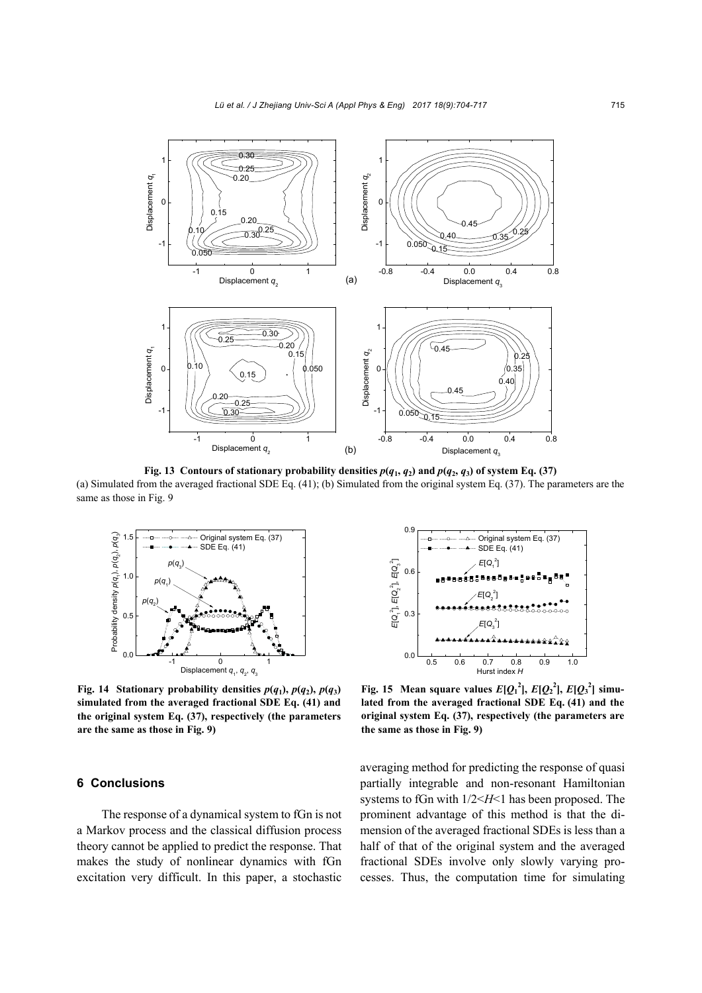

**Fig. 13 Contours of stationary probability densities**  $p(q_1, q_2)$  **and**  $p(q_2, q_3)$  **of system Eq. (37)** (a) Simulated from the averaged fractional SDE Eq. (41); (b) Simulated from the original system Eq. (37). The parameters are the same as those in Fig. 9



**Fig. 14 Stationary probability densities**  $p(q_1)$ **,**  $p(q_2)$ **,**  $p(q_3)$ **simulated from the averaged fractional SDE Eq. (41) and the original system Eq. (37), respectively (the parameters are the same as those in Fig. 9)**

#### **6 Conclusions**

The response of a dynamical system to fGn is not a Markov process and the classical diffusion process theory cannot be applied to predict the response. That makes the study of nonlinear dynamics with fGn excitation very difficult. In this paper, a stochastic



**Fig. 15** Mean square values  $E[Q_1^2], E[Q_2^2], E[Q_3^2]$  simu**lated from the averaged fractional SDE Eq. (41) and the original system Eq. (37), respectively (the parameters are the same as those in Fig. 9)**

averaging method for predicting the response of quasi partially integrable and non-resonant Hamiltonian systems to fGn with 1/2<*H*<1 has been proposed. The prominent advantage of this method is that the dimension of the averaged fractional SDEs is less than a half of that of the original system and the averaged fractional SDEs involve only slowly varying processes. Thus, the computation time for simulating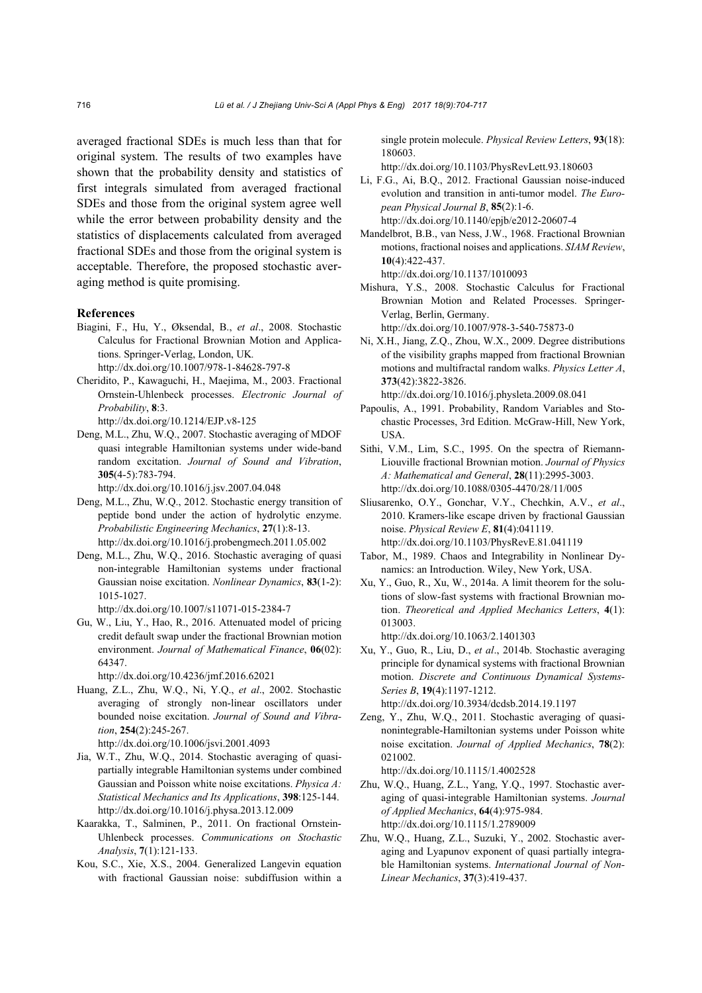averaged fractional SDEs is much less than that for original system. The results of two examples have shown that the probability density and statistics of first integrals simulated from averaged fractional SDEs and those from the original system agree well while the error between probability density and the statistics of displacements calculated from averaged fractional SDEs and those from the original system is acceptable. Therefore, the proposed stochastic averaging method is quite promising.

#### **References**

Biagini, F., Hu, Y., Øksendal, B., *et al*., 2008. Stochastic Calculus for Fractional Brownian Motion and Applications. Springer-Verlag, London, UK*.* 

http://dx.doi.org/10.1007/978-1-84628-797-8

Cheridito, P., Kawaguchi, H., Maejima, M., 2003. Fractional Ornstein-Uhlenbeck processes. *Electronic Journal of Probability*, **8**:3.

http://dx.doi.org/10.1214/EJP.v8-125

Deng, M.L., Zhu, W.Q., 2007. Stochastic averaging of MDOF quasi integrable Hamiltonian systems under wide-band random excitation. *Journal of Sound and Vibration*, **305**(4-5):783-794.

http://dx.doi.org/10.1016/j.jsv.2007.04.048

- Deng, M.L., Zhu, W.Q., 2012. Stochastic energy transition of peptide bond under the action of hydrolytic enzyme. *Probabilistic Engineering Mechanics*, **27**(1):8-13. http://dx.doi.org/10.1016/j.probengmech.2011.05.002
- Deng, M.L., Zhu, W.Q., 2016. Stochastic averaging of quasi non-integrable Hamiltonian systems under fractional Gaussian noise excitation. *Nonlinear Dynamics*, **83**(1-2): 1015-1027. http://dx.doi.org/10.1007/s11071-015-2384-7

Gu, W., Liu, Y., Hao, R., 2016. Attenuated model of pricing credit default swap under the fractional Brownian motion environment. *Journal of Mathematical Finance*, **06**(02): 64347.

http://dx.doi.org/10.4236/jmf.2016.62021

Huang, Z.L., Zhu, W.Q., Ni, Y.Q., *et al*., 2002. Stochastic averaging of strongly non-linear oscillators under bounded noise excitation. *Journal of Sound and Vibration*, **254**(2):245-267.

http://dx.doi.org/10.1006/jsvi.2001.4093

- Jia, W.T., Zhu, W.Q., 2014. Stochastic averaging of quasipartially integrable Hamiltonian systems under combined Gaussian and Poisson white noise excitations. *Physica A: Statistical Mechanics and Its Applications*, **398**:125-144. http://dx.doi.org/10.1016/j.physa.2013.12.009
- Kaarakka, T., Salminen, P., 2011. On fractional Ornstein-Uhlenbeck processes. *Communications on Stochastic Analysis*, **7**(1):121-133.
- Kou, S.C., Xie, X.S., 2004. Generalized Langevin equation with fractional Gaussian noise: subdiffusion within a

single protein molecule. *Physical Review Letters*, **93**(18): 180603.

http://dx.doi.org/10.1103/PhysRevLett.93.180603

- Li, F.G., Ai, B.Q., 2012. Fractional Gaussian noise-induced evolution and transition in anti-tumor model. *The European Physical Journal B*, **85**(2):1-6. http://dx.doi.org/10.1140/epjb/e2012-20607-4
- Mandelbrot, B.B., van Ness, J.W., 1968. Fractional Brownian motions, fractional noises and applications. *SIAM Review*, **10**(4):422-437. http://dx.doi.org/10.1137/1010093

Mishura, Y.S., 2008. Stochastic Calculus for Fractional Brownian Motion and Related Processes. Springer-Verlag, Berlin, Germany.

http://dx.doi.org/10.1007/978-3-540-75873-0

Ni, X.H., Jiang, Z.Q., Zhou, W.X., 2009. Degree distributions of the visibility graphs mapped from fractional Brownian motions and multifractal random walks. *Physics Letter A*, **373**(42):3822-3826.

http://dx.doi.org/10.1016/j.physleta.2009.08.041

- Papoulis, A., 1991. Probability, Random Variables and Stochastic Processes, 3rd Edition. McGraw-Hill, New York, USA.
- Sithi, V.M., Lim, S.C., 1995. On the spectra of Riemann-Liouville fractional Brownian motion. *Journal of Physics A: Mathematical and General*, **28**(11):2995-3003. http://dx.doi.org/10.1088/0305-4470/28/11/005
- Sliusarenko, O.Y., Gonchar, V.Y., Chechkin, A.V., *et al*., 2010. Kramers-like escape driven by fractional Gaussian noise. *Physical Review E*, **81**(4):041119. http://dx.doi.org/10.1103/PhysRevE.81.041119
- Tabor, M., 1989. Chaos and Integrability in Nonlinear Dynamics: an Introduction. Wiley, New York, USA.
- Xu, Y., Guo, R., Xu, W., 2014a. A limit theorem for the solutions of slow-fast systems with fractional Brownian motion. *Theoretical and Applied Mechanics Letters*, **4**(1): 013003.

http://dx.doi.org/10.1063/2.1401303

- Xu, Y., Guo, R., Liu, D., *et al*., 2014b. Stochastic averaging principle for dynamical systems with fractional Brownian motion. *Discrete and Continuous Dynamical Systems-Series B*, **19**(4):1197-1212. http://dx.doi.org/10.3934/dcdsb.2014.19.1197
- Zeng, Y., Zhu, W.Q., 2011. Stochastic averaging of quasinonintegrable-Hamiltonian systems under Poisson white noise excitation. *Journal of Applied Mechanics*, **78**(2): 021002.

http://dx.doi.org/10.1115/1.4002528

- Zhu, W.Q., Huang, Z.L., Yang, Y.Q., 1997. Stochastic averaging of quasi-integrable Hamiltonian systems. *Journal of Applied Mechanics*, **64**(4):975-984. http://dx.doi.org/10.1115/1.2789009
- Zhu, W.Q., Huang, Z.L., Suzuki, Y., 2002. Stochastic averaging and Lyapunov exponent of quasi partially integrable Hamiltonian systems. *International Journal of Non-Linear Mechanics*, **37**(3):419-437.